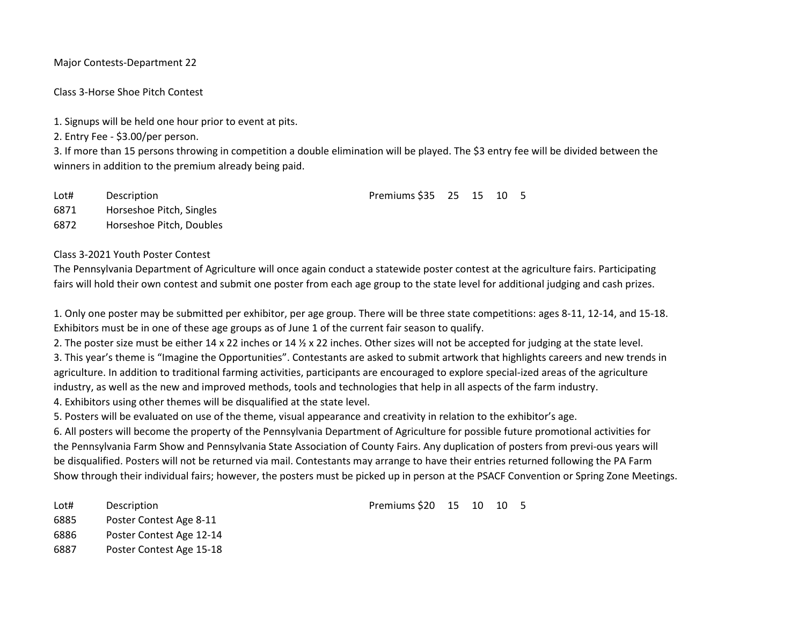Major Contests-Department 22

Class 3-Horse Shoe Pitch Contest

1. Signups will be held one hour prior to event at pits.

2. Entry Fee - \$3.00/per person.

3. If more than 15 persons throwing in competition a double elimination will be played. The \$3 entry fee will be divided between the winners in addition to the premium already being paid.

| Lot# | Description | Premiums \$35 25 15 10 5 |  |  |
|------|-------------|--------------------------|--|--|
|      |             |                          |  |  |

6871 Horseshoe Pitch, Singles

6872 Horseshoe Pitch, Doubles

## Class 3-2021 Youth Poster Contest

The Pennsylvania Department of Agriculture will once again conduct a statewide poster contest at the agriculture fairs. Participating fairs will hold their own contest and submit one poster from each age group to the state level for additional judging and cash prizes.

1. Only one poster may be submitted per exhibitor, per age group. There will be three state competitions: ages 8-11, 12-14, and 15-18. Exhibitors must be in one of these age groups as of June 1 of the current fair season to qualify.

2. The poster size must be either 14 x 22 inches or 14  $\frac{1}{2}$  x 22 inches. Other sizes will not be accepted for judging at the state level. 3. This year's theme is "Imagine the Opportunities". Contestants are asked to submit artwork that highlights careers and new trends in agriculture. In addition to traditional farming activities, participants are encouraged to explore special-ized areas of the agriculture industry, as well as the new and improved methods, tools and technologies that help in all aspects of the farm industry.

4. Exhibitors using other themes will be disqualified at the state level.

5. Posters will be evaluated on use of the theme, visual appearance and creativity in relation to the exhibitor's age.

6. All posters will become the property of the Pennsylvania Department of Agriculture for possible future promotional activities for the Pennsylvania Farm Show and Pennsylvania State Association of County Fairs. Any duplication of posters from previ-ous years will be disqualified. Posters will not be returned via mail. Contestants may arrange to have their entries returned following the PA Farm Show through their individual fairs; however, the posters must be picked up in person at the PSACF Convention or Spring Zone Meetings.

6885 Poster Contest Age 8-11

6886 Poster Contest Age 12-14

6887 Poster Contest Age 15-18

Lot# Description Premiums \$20 15 10 10 5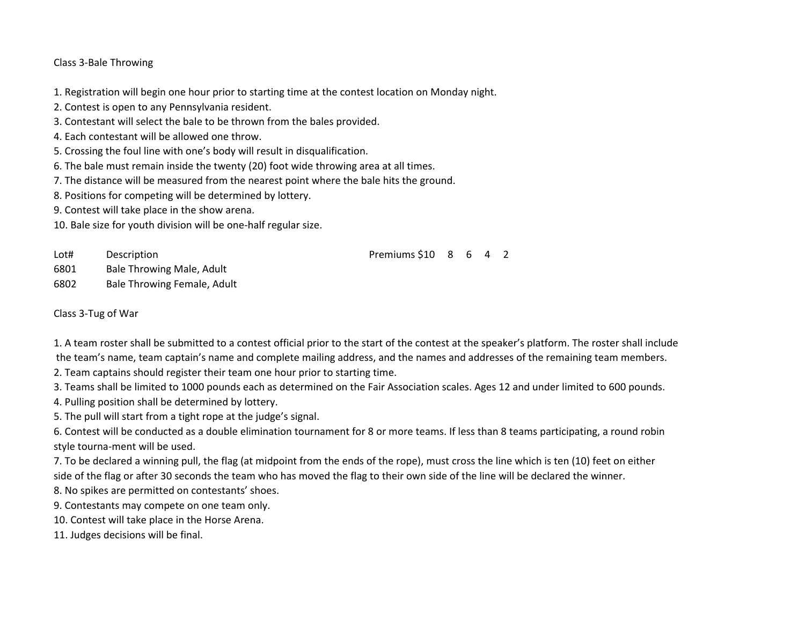## Class 3-Bale Throwing

1. Registration will begin one hour prior to starting time at the contest location on Monday night.

2. Contest is open to any Pennsylvania resident.

- 3. Contestant will select the bale to be thrown from the bales provided.
- 4. Each contestant will be allowed one throw.
- 5. Crossing the foul line with one's body will result in disqualification.
- 6. The bale must remain inside the twenty (20) foot wide throwing area at all times.
- 7. The distance will be measured from the nearest point where the bale hits the ground.
- 8. Positions for competing will be determined by lottery.
- 9. Contest will take place in the show arena.

10. Bale size for youth division will be one-half regular size.

Lot# Description **Premiums** \$10 8 6 4 2

6801 Bale Throwing Male, Adult

6802 Bale Throwing Female, Adult

Class 3-Tug of War

1. A team roster shall be submitted to a contest official prior to the start of the contest at the speaker's platform. The roster shall include the team's name, team captain's name and complete mailing address, and the names and addresses of the remaining team members.

2. Team captains should register their team one hour prior to starting time.

3. Teams shall be limited to 1000 pounds each as determined on the Fair Association scales. Ages 12 and under limited to 600 pounds.

4. Pulling position shall be determined by lottery.

5. The pull will start from a tight rope at the judge's signal.

6. Contest will be conducted as a double elimination tournament for 8 or more teams. If less than 8 teams participating, a round robin style tourna-ment will be used.

7. To be declared a winning pull, the flag (at midpoint from the ends of the rope), must cross the line which is ten (10) feet on either side of the flag or after 30 seconds the team who has moved the flag to their own side of the line will be declared the winner.

8. No spikes are permitted on contestants' shoes.

9. Contestants may compete on one team only.

10. Contest will take place in the Horse Arena.

11. Judges decisions will be final.